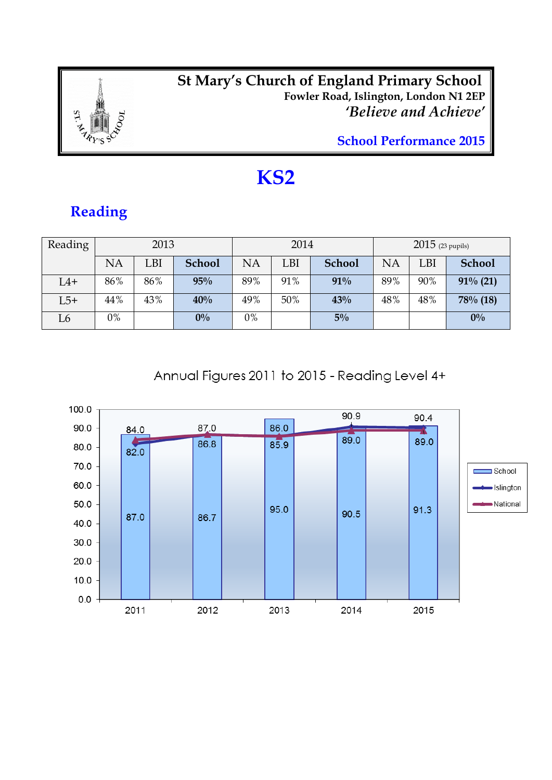

#### *<u><b>EXECUTE:* **St Mary's Church of England Primary School**</u> **Fowler Road, Islington, London N1 2EP** *'Believe and Achieve'*

**School Performance 2015**

## **KS2**

### **Reading**

| Reading |       | 2013 |               |           | 2014       |               | $2015$ (23 pupils) |     |               |
|---------|-------|------|---------------|-----------|------------|---------------|--------------------|-----|---------------|
|         | NA    | LBI  | <b>School</b> | <b>NA</b> | <b>LBI</b> | <b>School</b> | NA                 | LBI | <b>School</b> |
| $L4+$   | 86%   | 86%  | 95%           | 89%       | 91%        | 91%           | 89%                | 90% | $91\%$ (21)   |
| $L5+$   | 44%   | 43%  | 40%           | 49%       | 50%        | 43%           | 48%                | 48% | 78% (18)      |
| L6      | $0\%$ |      | $0\%$         | 0%        |            | $5\%$         |                    |     | $0\%$         |

Annual Figures 2011 to 2015 - Reading Level 4+

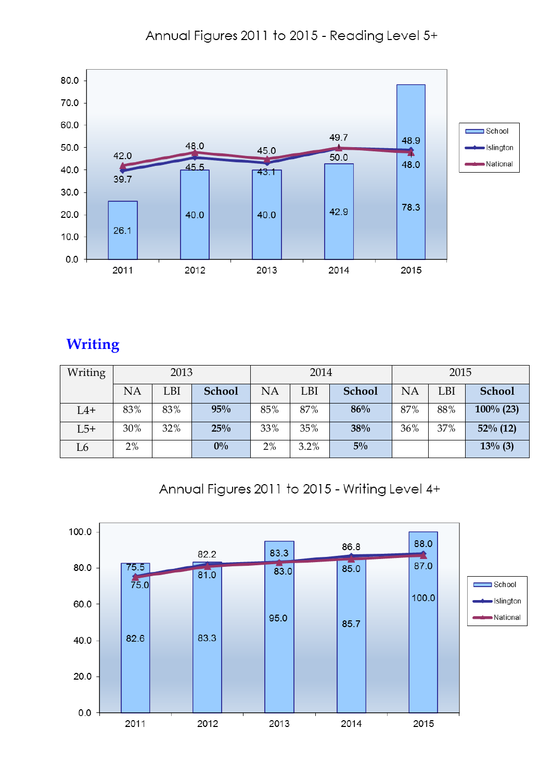Annual Figures 2011 to 2015 - Reading Level 5+



#### **Writing**

| Writing |     | 2013 |               |     | 2014 |               | 2015 |     |               |
|---------|-----|------|---------------|-----|------|---------------|------|-----|---------------|
|         | NA  | LBI  | <b>School</b> | NA  | LBI  | <b>School</b> | NA   | LBI | <b>School</b> |
| $L4+$   | 83% | 83%  | 95%           | 85% | 87%  | 86%           | 87%  | 88% | $100\%$ (23)  |
| $L5+$   | 30% | 32%  | 25%           | 33% | 35%  | 38%           | 36%  | 37% | $52\%$ (12)   |
| L6      | 2%  |      | $0\%$         | 2%  | 3.2% | $5\%$         |      |     | $13\%$ (3)    |

Annual Figures 2011 to 2015 - Writing Level 4+

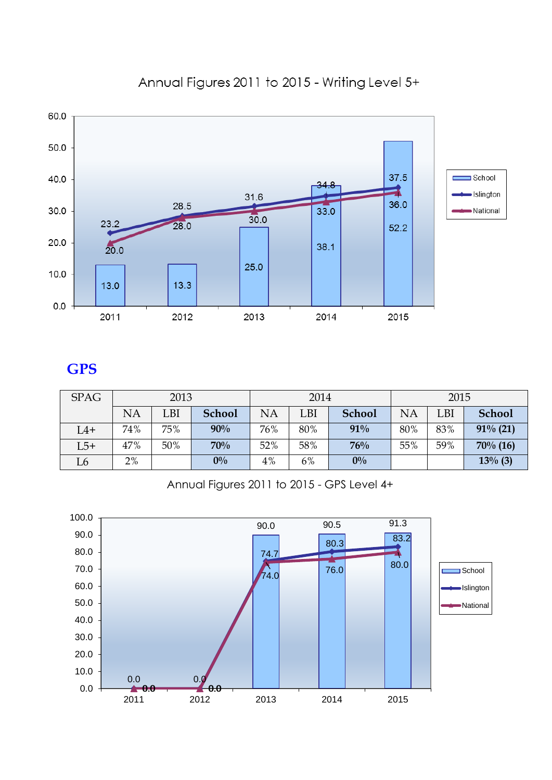

#### Annual Figures 2011 to 2015 - Writing Level 5+

#### **GPS**

| <b>SPAG</b> |           | 2013 |               |     | 2014 |               | 2015 |     |               |  |
|-------------|-----------|------|---------------|-----|------|---------------|------|-----|---------------|--|
|             | <b>NA</b> | LBI  | <b>School</b> | NA  | LBI  | <b>School</b> | NA   | LBI | <b>School</b> |  |
| $L4+$       | 74%       | 75%  | 90%           | 76% | 80%  | 91%           | 80%  | 83% | $91\%$ (21)   |  |
| $L5+$       | 47%       | 50%  | 70%           | 52% | 58%  | 76%           | 55%  | 59% | $70\%$ (16)   |  |
| L6          | 2%        |      | $0\%$         | 4%  | 6%   | $0\%$         |      |     | $13\%$ (3)    |  |

Annual Figures 2011 to 2015 - GPS Level 4+

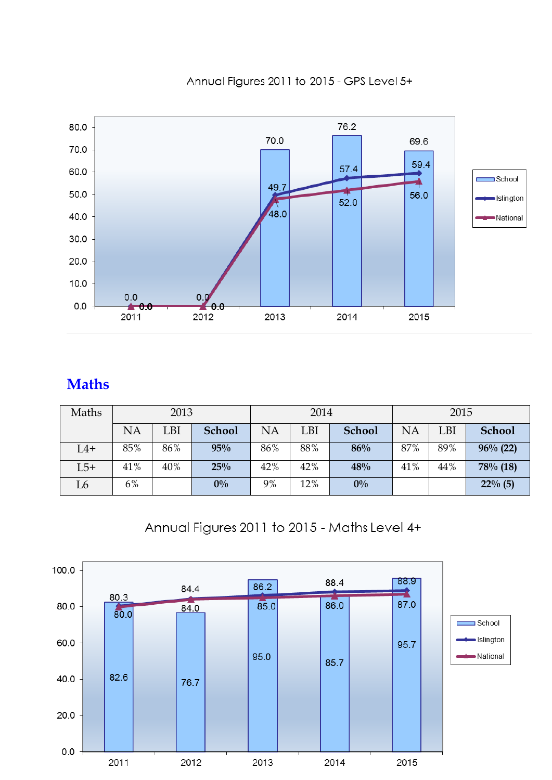

Annual Figures 2011 to 2015 - GPS Level 5+

## **Maths**

| Maths |           | 2013 |               |     | 2014       |               | 2015 |     |               |  |
|-------|-----------|------|---------------|-----|------------|---------------|------|-----|---------------|--|
|       | <b>NA</b> | LBI  | <b>School</b> | NA  | LBI        | <b>School</b> | NA   | LBI | <b>School</b> |  |
| $L4+$ | 85%       | 86%  | 95%           | 86% | 88%<br>86% |               |      | 89% | $96\%$ (22)   |  |
| $L5+$ | 41%       | 40%  | 25%           | 42% | 42%        | 48%           | 41%  | 44% | 78% (18)      |  |
| L6    | 6%        |      | $0\%$         | 9%  | 12%        | $0\%$         |      |     | $22\%$ (5)    |  |

Annual Figures 2011 to 2015 - Maths Level 4+

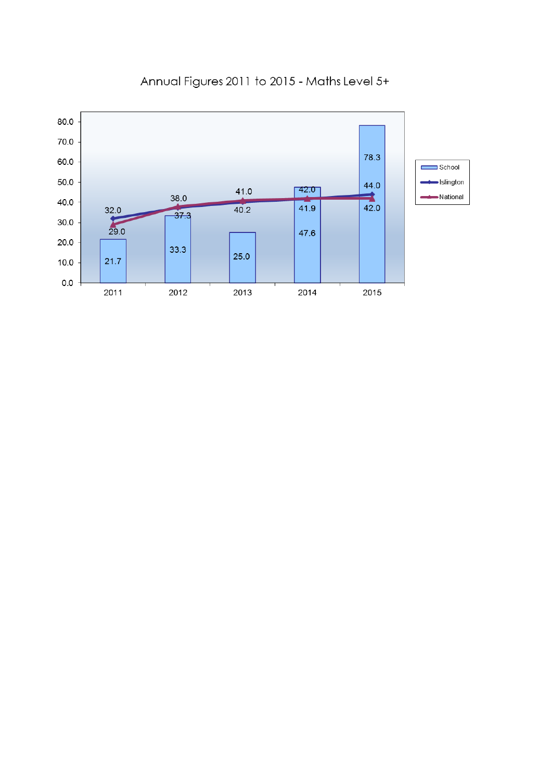

#### Annual Figures 2011 to 2015 - Maths Level 5+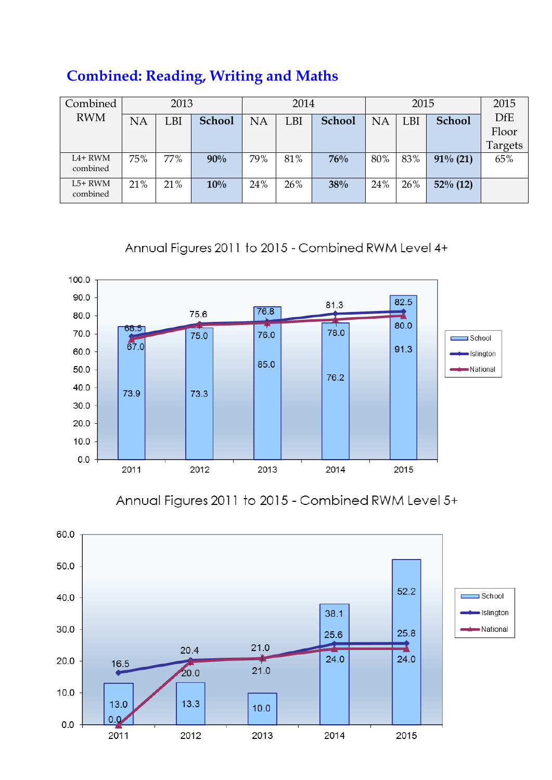|  | <b>Combined: Reading, Writing and Maths</b> |  |  |
|--|---------------------------------------------|--|--|
|  |                                             |  |  |

| Combined              |           | 2013 |               |     | 2014 |               |           |            | 2015          |            |  | 2015 |
|-----------------------|-----------|------|---------------|-----|------|---------------|-----------|------------|---------------|------------|--|------|
| <b>RWM</b>            | <b>NA</b> | LBI  | <b>School</b> | NA  | LBI  | <b>School</b> | <b>NA</b> | <b>LBI</b> | <b>School</b> | <b>DfE</b> |  |      |
|                       |           |      |               |     |      |               |           |            |               | Floor      |  |      |
|                       |           |      |               |     |      |               |           |            |               | Targets    |  |      |
| $L4+RWM$<br>combined  | 75%       | 77%  | 90%           | 79% | 81%  | 76%           | 80%       | 83%        | $91\%$ (21)   | 65%        |  |      |
| $L5+ RWM$<br>combined | 21%       | 21%  | 10%           | 24% | 26%  | 38%           | 24%       | 26%        | $52\%$ (12)   |            |  |      |

Annual Figures 2011 to 2015 - Combined RWM Level 4+



Annual Figures 2011 to 2015 - Combined RWM Level 5+

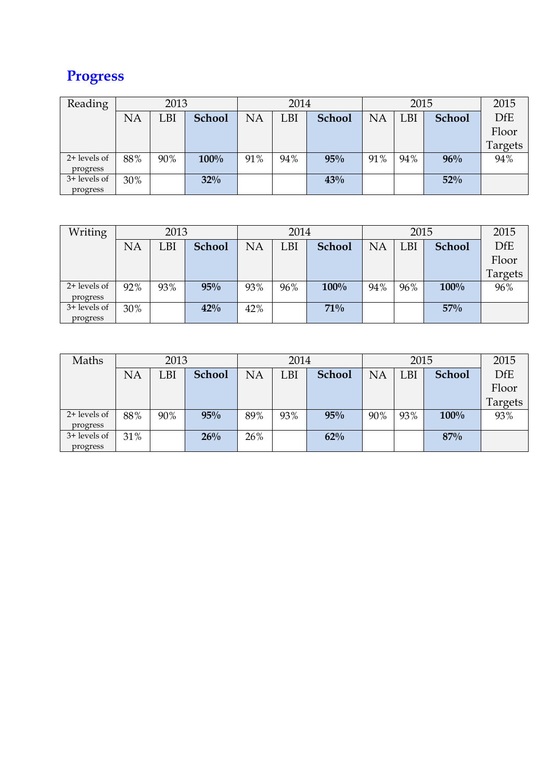## **Progress**

| Reading      |     | 2013 |               |     | 2014 |               |           | 2015 |               | 2015       |
|--------------|-----|------|---------------|-----|------|---------------|-----------|------|---------------|------------|
|              | NA  | LBI  | <b>School</b> | NA  | LBI  | <b>School</b> | <b>NA</b> | LBI  | <b>School</b> | <b>DfE</b> |
|              |     |      |               |     |      |               |           |      |               | Floor      |
|              |     |      |               |     |      |               |           |      |               | Targets    |
| 2+ levels of | 88% | 90%  | $100\%$       | 91% | 94%  | 95%           | 91%       | 94%  | 96%           | 94%        |
| progress     |     |      |               |     |      |               |           |      |               |            |
| 3+ levels of | 30% |      | 32%           |     |      | 43%           |           |      | 52%           |            |
| progress     |     |      |               |     |      |               |           |      |               |            |

| Writing      |           | 2013 |               |           | 2014 |               |           | 2015 |               | 2015       |
|--------------|-----------|------|---------------|-----------|------|---------------|-----------|------|---------------|------------|
|              | <b>NA</b> | LBI  | <b>School</b> | <b>NA</b> | LBI  | <b>School</b> | <b>NA</b> | LBI  | <b>School</b> | <b>DfE</b> |
|              |           |      |               |           |      |               |           |      |               | Floor      |
|              |           |      |               |           |      |               |           |      |               | Targets    |
| 2+ levels of | 92%       | 93%  | 95%           | 93%       | 96%  | 100%          | 94%       | 96%  | 100%          | 96%        |
| progress     |           |      |               |           |      |               |           |      |               |            |
| 3+ levels of | 30%       |      | 42%           | 42%       |      | 71%           |           |      | 57%           |            |
| progress     |           |      |               |           |      |               |           |      |               |            |

| Maths        |     | 2013 |               |     | 2014 |               |           | 2015 |               | 2015       |
|--------------|-----|------|---------------|-----|------|---------------|-----------|------|---------------|------------|
|              | NA  | LBI  | <b>School</b> | NA  | LBI  | <b>School</b> | <b>NA</b> | LBI  | <b>School</b> | <b>DfE</b> |
|              |     |      |               |     |      |               |           |      |               | Floor      |
|              |     |      |               |     |      |               |           |      |               | Targets    |
| 2+ levels of | 88% | 90%  | 95%           | 89% | 93%  | 95%           | 90%       | 93%  | 100%          | 93%        |
| progress     |     |      |               |     |      |               |           |      |               |            |
| 3+ levels of | 31% |      | 26%           | 26% |      | 62%           |           |      | 87%           |            |
| progress     |     |      |               |     |      |               |           |      |               |            |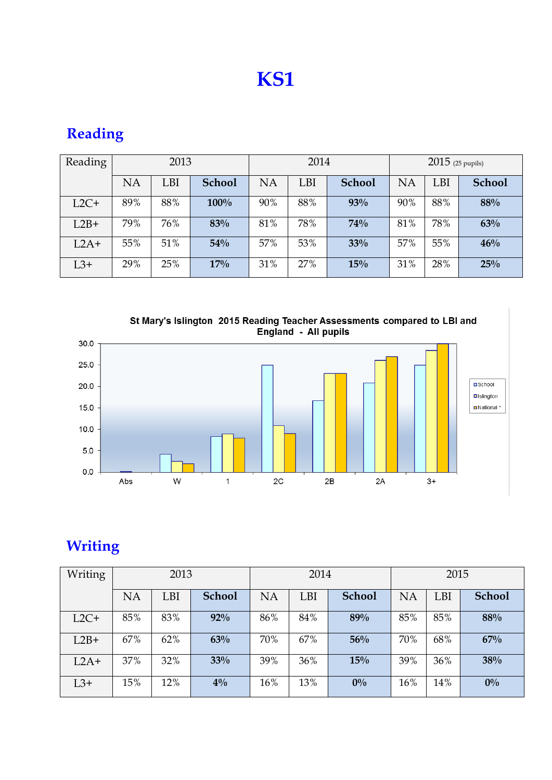# **KS1**

| Reading |           | 2013 |               |     | 2014 |               | $2015$ (25 pupils) |     |               |  |
|---------|-----------|------|---------------|-----|------|---------------|--------------------|-----|---------------|--|
|         | <b>NA</b> | LBI  | <b>School</b> | NA  | LBI  | <b>School</b> | <b>NA</b>          | LBI | <b>School</b> |  |
| $L2C+$  | 89%       | 88%  | 100%          | 90% | 88%  | 93%           | 90%                | 88% | 88%           |  |
| $L2B+$  | 79%       | 76%  | 83%           | 81% | 78%  | 74%           | 81%                | 78% | 63%           |  |
| $L2A+$  | 55%       | 51%  | 54%           | 57% | 53%  | 33%           | 57%                | 55% | 46%           |  |
| $L3+$   | 29%       | 25%  | 17%           | 31% | 27%  | 15%           | 31%                | 28% | 25%           |  |

## **Reading**

St Mary's Islington 2015 Reading Teacher Assessments compared to LBI and<br>England - All pupils



## **Writing**

| Writing |           | 2013 |               |           | 2014 |               | 2015 |     |               |  |
|---------|-----------|------|---------------|-----------|------|---------------|------|-----|---------------|--|
|         | <b>NA</b> | LBI  | <b>School</b> | <b>NA</b> | LBI  | <b>School</b> | NA   | LBI | <b>School</b> |  |
| $L2C+$  | 85%       | 83%  | 92%           | 86%       | 84%  | 89%           | 85%  | 85% | 88%           |  |
| $L2B+$  | 67%       | 62%  | 63%           | 70%       | 67%  | 56%           | 70%  | 68% | 67%           |  |
| $L2A+$  | 37%       | 32%  | 33%           | 39%       | 36%  | 15%           | 39%  | 36% | 38%           |  |
| $L3+$   | 15%       | 12%  | $4\%$         | 16%       | 13%  | $0\%$         | 16%  | 14% | $0\%$         |  |